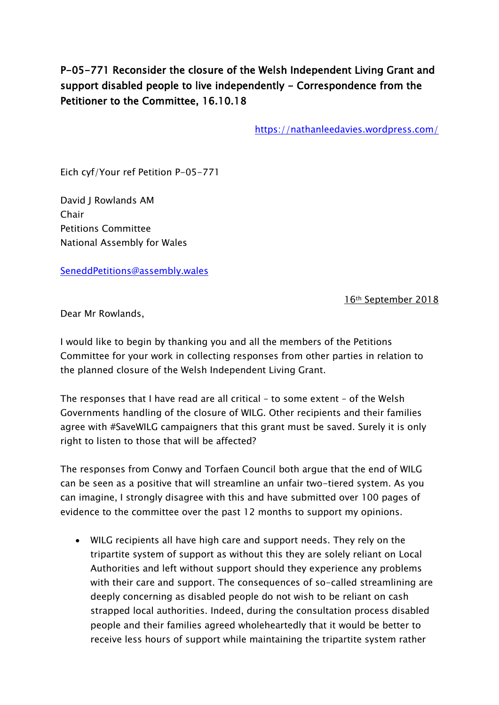## P-05-771 Reconsider the closure of the Welsh Independent Living Grant and support disabled people to live independently - Correspondence from the Petitioner to the Committee, 16.10.18

<https://nathanleedavies.wordpress.com/>

Eich cyf/Your ref Petition P-05-771

David J Rowlands AM Chair Petitions Committee National Assembly for Wales

[SeneddPetitions@assembly.wales](mailto:SeneddPetitions@assembly.wales)

16th September 2018

Dear Mr Rowlands,

I would like to begin by thanking you and all the members of the Petitions Committee for your work in collecting responses from other parties in relation to the planned closure of the Welsh Independent Living Grant.

The responses that I have read are all critical – to some extent – of the Welsh Governments handling of the closure of WILG. Other recipients and their families agree with #SaveWILG campaigners that this grant must be saved. Surely it is only right to listen to those that will be affected?

The responses from Conwy and Torfaen Council both argue that the end of WILG can be seen as a positive that will streamline an unfair two-tiered system. As you can imagine, I strongly disagree with this and have submitted over 100 pages of evidence to the committee over the past 12 months to support my opinions.

 WILG recipients all have high care and support needs. They rely on the tripartite system of support as without this they are solely reliant on Local Authorities and left without support should they experience any problems with their care and support. The consequences of so-called streamlining are deeply concerning as disabled people do not wish to be reliant on cash strapped local authorities. Indeed, during the consultation process disabled people and their families agreed wholeheartedly that it would be better to receive less hours of support while maintaining the tripartite system rather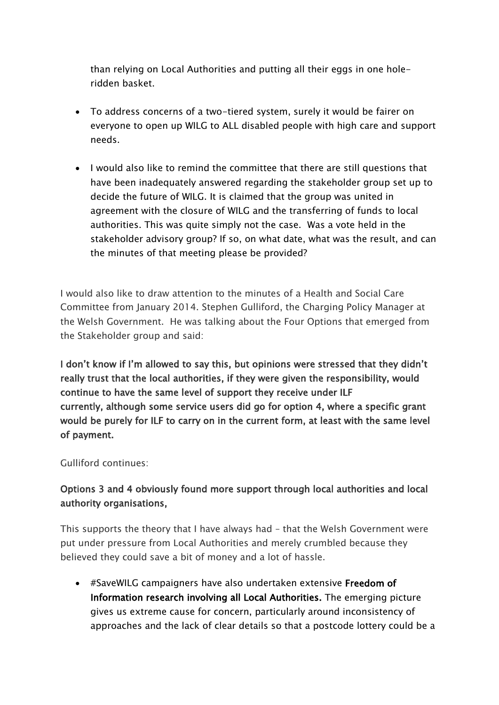than relying on Local Authorities and putting all their eggs in one holeridden basket.

- To address concerns of a two-tiered system, surely it would be fairer on everyone to open up WILG to ALL disabled people with high care and support needs.
- I would also like to remind the committee that there are still questions that have been inadequately answered regarding the stakeholder group set up to decide the future of WILG. It is claimed that the group was united in agreement with the closure of WILG and the transferring of funds to local authorities. This was quite simply not the case. Was a vote held in the stakeholder advisory group? If so, on what date, what was the result, and can the minutes of that meeting please be provided?

I would also like to draw attention to the minutes of a Health and Social Care Committee from January 2014. Stephen Gulliford, the Charging Policy Manager at the Welsh Government. He was talking about the Four Options that emerged from the Stakeholder group and said:

I don't know if I'm allowed to say this, but opinions were stressed that they didn't really trust that the local authorities, if they were given the responsibility, would continue to have the same level of support they receive under ILF currently, although some service users did go for option 4, where a specific grant would be purely for ILF to carry on in the current form, at least with the same level of payment.

Gulliford continues:

## Options 3 and 4 obviously found more support through local authorities and local authority organisations,

This supports the theory that I have always had – that the Welsh Government were put under pressure from Local Authorities and merely crumbled because they believed they could save a bit of money and a lot of hassle.

 #SaveWILG campaigners have also undertaken extensive Freedom of Information research involving all Local Authorities. The emerging picture gives us extreme cause for concern, particularly around inconsistency of approaches and the lack of clear details so that a postcode lottery could be a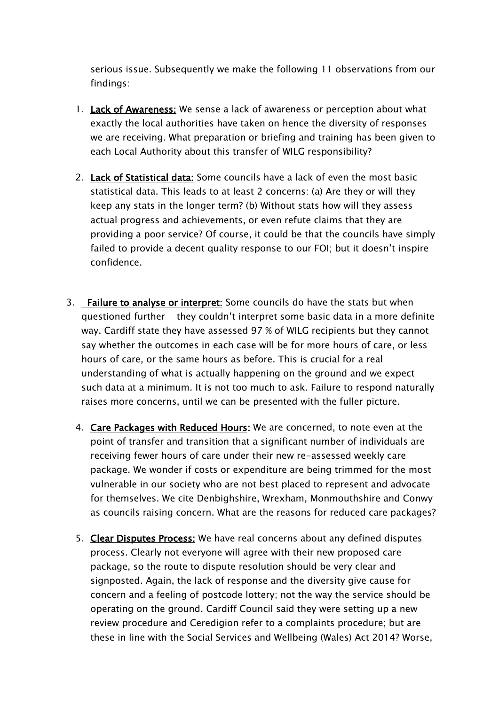serious issue. Subsequently we make the following 11 observations from our findings:

- 1. Lack of Awareness: We sense a lack of awareness or perception about what exactly the local authorities have taken on hence the diversity of responses we are receiving. What preparation or briefing and training has been given to each Local Authority about this transfer of WILG responsibility?
- 2. Lack of Statistical data: Some councils have a lack of even the most basic statistical data. This leads to at least 2 concerns: (a) Are they or will they keep any stats in the longer term? (b) Without stats how will they assess actual progress and achievements, or even refute claims that they are providing a poor service? Of course, it could be that the councils have simply failed to provide a decent quality response to our FOI; but it doesn't inspire confidence.
- 3. Failure to analyse or interpret: Some councils do have the stats but when questioned further they couldn't interpret some basic data in a more definite way. Cardiff state they have assessed 97 % of WILG recipients but they cannot say whether the outcomes in each case will be for more hours of care, or less hours of care, or the same hours as before. This is crucial for a real understanding of what is actually happening on the ground and we expect such data at a minimum. It is not too much to ask. Failure to respond naturally raises more concerns, until we can be presented with the fuller picture.
	- 4. Care Packages with Reduced Hours: We are concerned, to note even at the point of transfer and transition that a significant number of individuals are receiving fewer hours of care under their new re-assessed weekly care package. We wonder if costs or expenditure are being trimmed for the most vulnerable in our society who are not best placed to represent and advocate for themselves. We cite Denbighshire, Wrexham, Monmouthshire and Conwy as councils raising concern. What are the reasons for reduced care packages?
	- 5. Clear Disputes Process: We have real concerns about any defined disputes process. Clearly not everyone will agree with their new proposed care package, so the route to dispute resolution should be very clear and signposted. Again, the lack of response and the diversity give cause for concern and a feeling of postcode lottery; not the way the service should be operating on the ground. Cardiff Council said they were setting up a new review procedure and Ceredigion refer to a complaints procedure; but are these in line with the Social Services and Wellbeing (Wales) Act 2014? Worse,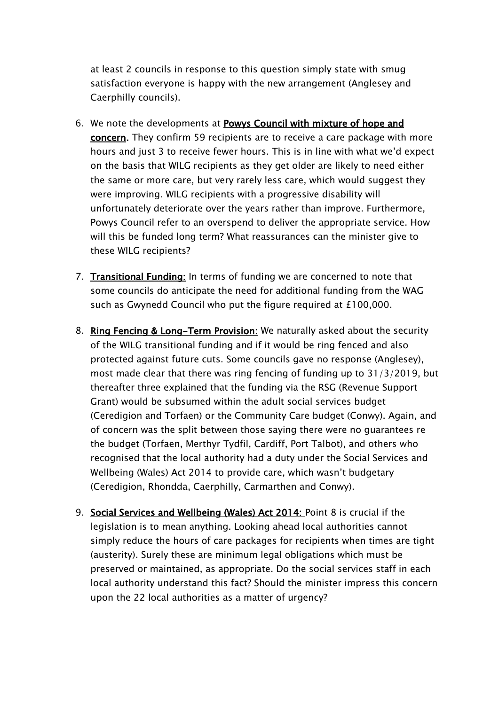at least 2 councils in response to this question simply state with smug satisfaction everyone is happy with the new arrangement (Anglesey and Caerphilly councils).

- 6. We note the developments at Powys Council with mixture of hope and concern. They confirm 59 recipients are to receive a care package with more hours and just 3 to receive fewer hours. This is in line with what we'd expect on the basis that WILG recipients as they get older are likely to need either the same or more care, but very rarely less care, which would suggest they were improving. WILG recipients with a progressive disability will unfortunately deteriorate over the years rather than improve. Furthermore, Powys Council refer to an overspend to deliver the appropriate service. How will this be funded long term? What reassurances can the minister give to these WILG recipients?
- 7. Transitional Funding: In terms of funding we are concerned to note that some councils do anticipate the need for additional funding from the WAG such as Gwynedd Council who put the figure required at £100,000.
- 8. Ring Fencing & Long-Term Provision: We naturally asked about the security of the WILG transitional funding and if it would be ring fenced and also protected against future cuts. Some councils gave no response (Anglesey), most made clear that there was ring fencing of funding up to 31/3/2019, but thereafter three explained that the funding via the RSG (Revenue Support Grant) would be subsumed within the adult social services budget (Ceredigion and Torfaen) or the Community Care budget (Conwy). Again, and of concern was the split between those saying there were no guarantees re the budget (Torfaen, Merthyr Tydfil, Cardiff, Port Talbot), and others who recognised that the local authority had a duty under the Social Services and Wellbeing (Wales) Act 2014 to provide care, which wasn't budgetary (Ceredigion, Rhondda, Caerphilly, Carmarthen and Conwy).
- 9. Social Services and Wellbeing (Wales) Act 2014: Point 8 is crucial if the legislation is to mean anything. Looking ahead local authorities cannot simply reduce the hours of care packages for recipients when times are tight (austerity). Surely these are minimum legal obligations which must be preserved or maintained, as appropriate. Do the social services staff in each local authority understand this fact? Should the minister impress this concern upon the 22 local authorities as a matter of urgency?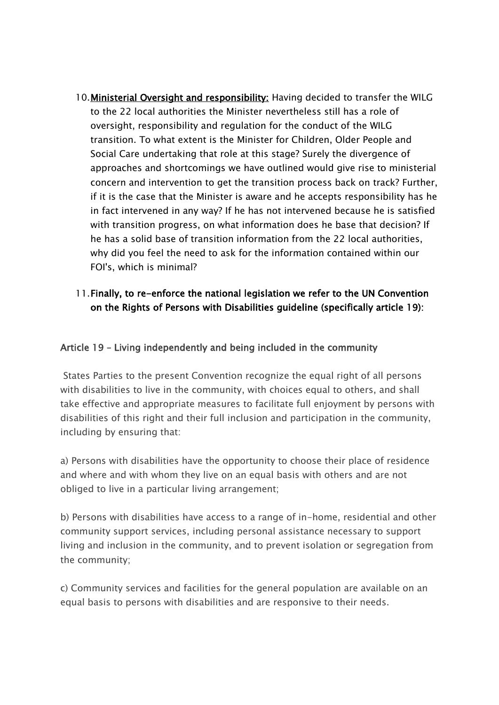10.Ministerial Oversight and responsibility: Having decided to transfer the WILG to the 22 local authorities the Minister nevertheless still has a role of oversight, responsibility and regulation for the conduct of the WILG transition. To what extent is the Minister for Children, Older People and Social Care undertaking that role at this stage? Surely the divergence of approaches and shortcomings we have outlined would give rise to ministerial concern and intervention to get the transition process back on track? Further, if it is the case that the Minister is aware and he accepts responsibility has he in fact intervened in any way? If he has not intervened because he is satisfied with transition progress, on what information does he base that decision? If he has a solid base of transition information from the 22 local authorities, why did you feel the need to ask for the information contained within our FOI's, which is minimal?

## 11.Finally, to re-enforce the national legislation we refer to the UN Convention on the Rights of Persons with Disabilities guideline (specifically article 19):

## Article 19 – Living independently and being included in the community

States Parties to the present Convention recognize the equal right of all persons with disabilities to live in the community, with choices equal to others, and shall take effective and appropriate measures to facilitate full enjoyment by persons with disabilities of this right and their full inclusion and participation in the community, including by ensuring that:

a) Persons with disabilities have the opportunity to choose their place of residence and where and with whom they live on an equal basis with others and are not obliged to live in a particular living arrangement;

b) Persons with disabilities have access to a range of in-home, residential and other community support services, including personal assistance necessary to support living and inclusion in the community, and to prevent isolation or segregation from the community;

c) Community services and facilities for the general population are available on an equal basis to persons with disabilities and are responsive to their needs.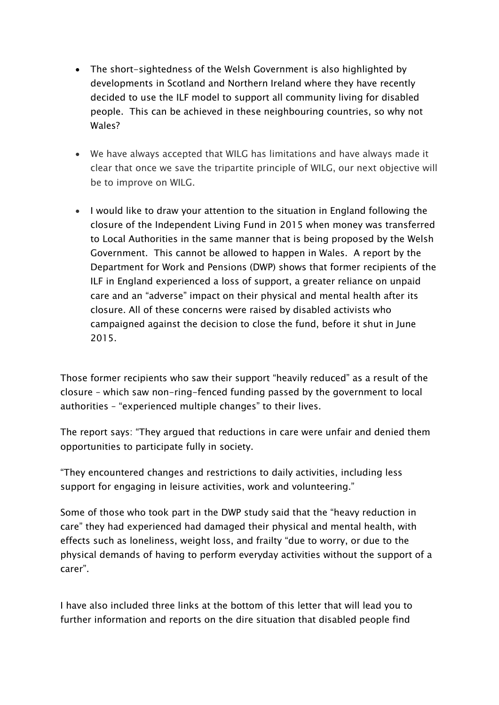- The short-sightedness of the Welsh Government is also highlighted by developments in Scotland and Northern Ireland where they have recently decided to use the ILF model to support all community living for disabled people. This can be achieved in these neighbouring countries, so why not Wales?
- We have always accepted that WILG has limitations and have always made it clear that once we save the tripartite principle of WILG, our next objective will be to improve on WILG.
- I would like to draw your attention to the situation in England following the closure of the Independent Living Fund in 2015 when money was transferred to Local Authorities in the same manner that is being proposed by the Welsh Government. This cannot be allowed to happen in Wales. A report by the Department for Work and Pensions (DWP) shows that former recipients of the ILF in England experienced a loss of support, a greater reliance on unpaid care and an "adverse" impact on their physical and mental health after its closure. All of these concerns were raised by disabled activists who campaigned against the decision to close the fund, before it shut in June 2015.

Those former recipients who saw their support "heavily reduced" as a result of the closure – which saw non-ring-fenced funding passed by the government to local authorities – "experienced multiple changes" to their lives.

The report says: "They argued that reductions in care were unfair and denied them opportunities to participate fully in society.

"They encountered changes and restrictions to daily activities, including less support for engaging in leisure activities, work and volunteering."

Some of those who took part in the DWP study said that the "heavy reduction in care" they had experienced had damaged their physical and mental health, with effects such as loneliness, weight loss, and frailty "due to worry, or due to the physical demands of having to perform everyday activities without the support of a carer".

I have also included three links at the bottom of this letter that will lead you to further information and reports on the dire situation that disabled people find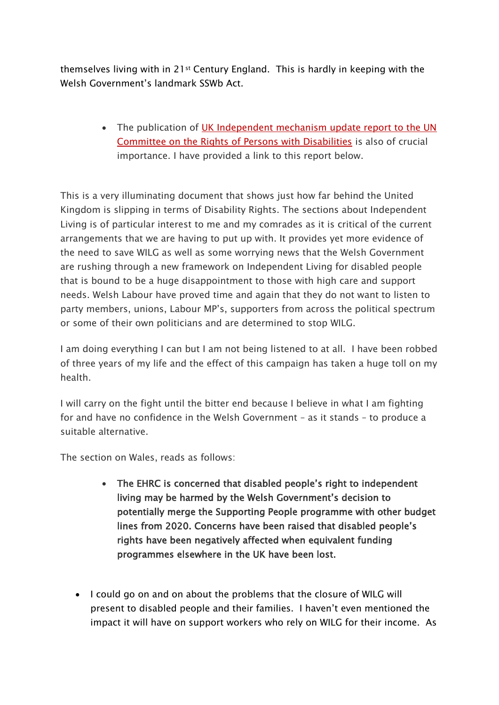themselves living with in 21st Century England. This is hardly in keeping with the Welsh Government's landmark SSWb Act.

> • The publication of UK Independent mechanism update report to the UN [Committee on the Rights of Persons with Disabilities](http://www.nihrc.org/uploads/publications/Progress_on_disability_rights_in_the_UK_CRPD_-_Shadow_Report_2018.pdf) is also of crucial importance. I have provided a link to this report below.

This is a very illuminating document that shows just how far behind the United Kingdom is slipping in terms of Disability Rights. The sections about Independent Living is of particular interest to me and my comrades as it is critical of the current arrangements that we are having to put up with. It provides yet more evidence of the need to save WILG as well as some worrying news that the Welsh Government are rushing through a new framework on Independent Living for disabled people that is bound to be a huge disappointment to those with high care and support needs. Welsh Labour have proved time and again that they do not want to listen to party members, unions, Labour MP's, supporters from across the political spectrum or some of their own politicians and are determined to stop WILG.

I am doing everything I can but I am not being listened to at all. I have been robbed of three years of my life and the effect of this campaign has taken a huge toll on my health.

I will carry on the fight until the bitter end because I believe in what I am fighting for and have no confidence in the Welsh Government – as it stands – to produce a suitable alternative.

The section on Wales, reads as follows:

- The EHRC is concerned that disabled people's right to independent living may be harmed by the Welsh Government's decision to potentially merge the Supporting People programme with other budget lines from 2020. Concerns have been raised that disabled people's rights have been negatively affected when equivalent funding programmes elsewhere in the UK have been lost.
- I could go on and on about the problems that the closure of WILG will present to disabled people and their families. I haven't even mentioned the impact it will have on support workers who rely on WILG for their income. As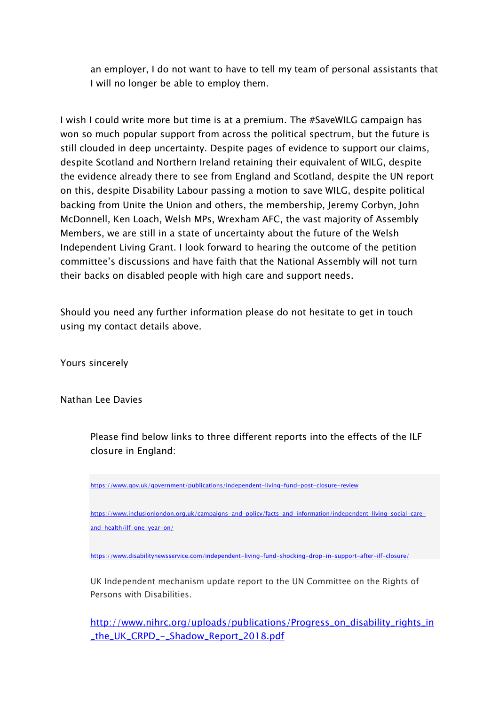an employer, I do not want to have to tell my team of personal assistants that I will no longer be able to employ them.

I wish I could write more but time is at a premium. The #SaveWILG campaign has won so much popular support from across the political spectrum, but the future is still clouded in deep uncertainty. Despite pages of evidence to support our claims, despite Scotland and Northern Ireland retaining their equivalent of WILG, despite the evidence already there to see from England and Scotland, despite the UN report on this, despite Disability Labour passing a motion to save WILG, despite political backing from Unite the Union and others, the membership, Jeremy Corbyn, John McDonnell, Ken Loach, Welsh MPs, Wrexham AFC, the vast majority of Assembly Members, we are still in a state of uncertainty about the future of the Welsh Independent Living Grant. I look forward to hearing the outcome of the petition committee's discussions and have faith that the National Assembly will not turn their backs on disabled people with high care and support needs.

Should you need any further information please do not hesitate to get in touch using my contact details above.

Yours sincerely

Nathan Lee Davies

Please find below links to three different reports into the effects of the ILF closure in England:

<https://www.gov.uk/government/publications/independent-living-fund-post-closure-review>

[https://www.inclusionlondon.org.uk/campaigns-and-policy/facts-and-information/independent-living-social-care](https://www.inclusionlondon.org.uk/campaigns-and-policy/facts-and-information/independent-living-social-care-and-health/ilf-one-year-on/)[and-health/ilf-one-year-on/](https://www.inclusionlondon.org.uk/campaigns-and-policy/facts-and-information/independent-living-social-care-and-health/ilf-one-year-on/)

<https://www.disabilitynewsservice.com/independent-living-fund-shocking-drop-in-support-after-ilf-closure/>

UK Independent mechanism update report to the UN Committee on the Rights of Persons with Disabilities.

[http://www.nihrc.org/uploads/publications/Progress\\_on\\_disability\\_rights\\_in](http://www.nihrc.org/uploads/publications/Progress_on_disability_rights_in_the_UK_CRPD_-_Shadow_Report_2018.pdf) [\\_the\\_UK\\_CRPD\\_-\\_Shadow\\_Report\\_2018.pdf](http://www.nihrc.org/uploads/publications/Progress_on_disability_rights_in_the_UK_CRPD_-_Shadow_Report_2018.pdf)